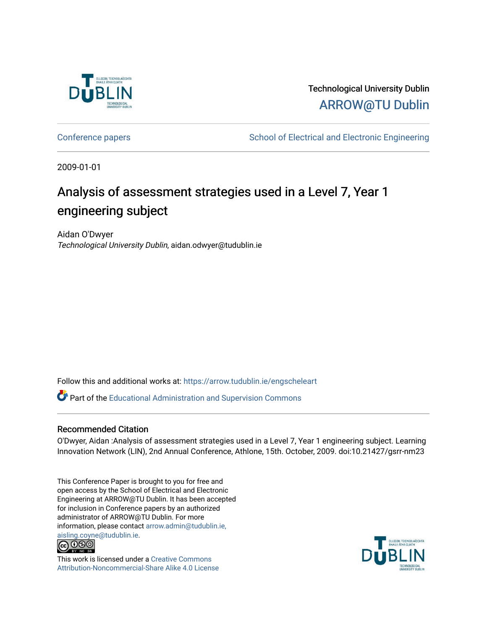

Technological University Dublin [ARROW@TU Dublin](https://arrow.tudublin.ie/) 

[Conference papers](https://arrow.tudublin.ie/engscheleart) **School of Electrical and Electronic Engineering** 

2009-01-01

# Analysis of assessment strategies used in a Level 7, Year 1 engineering subject

Aidan O'Dwyer Technological University Dublin, aidan.odwyer@tudublin.ie

Follow this and additional works at: [https://arrow.tudublin.ie/engscheleart](https://arrow.tudublin.ie/engscheleart?utm_source=arrow.tudublin.ie%2Fengscheleart%2F117&utm_medium=PDF&utm_campaign=PDFCoverPages) 

Part of the [Educational Administration and Supervision Commons](http://network.bepress.com/hgg/discipline/787?utm_source=arrow.tudublin.ie%2Fengscheleart%2F117&utm_medium=PDF&utm_campaign=PDFCoverPages)

#### Recommended Citation

O'Dwyer, Aidan :Analysis of assessment strategies used in a Level 7, Year 1 engineering subject. Learning Innovation Network (LIN), 2nd Annual Conference, Athlone, 15th. October, 2009. doi:10.21427/gsrr-nm23

This Conference Paper is brought to you for free and open access by the School of Electrical and Electronic Engineering at ARROW@TU Dublin. It has been accepted for inclusion in Conference papers by an authorized administrator of ARROW@TU Dublin. For more information, please contact [arrow.admin@tudublin.ie,](mailto:arrow.admin@tudublin.ie,%20aisling.coyne@tudublin.ie)  [aisling.coyne@tudublin.ie.](mailto:arrow.admin@tudublin.ie,%20aisling.coyne@tudublin.ie)<br>© 090



This work is licensed under a [Creative Commons](http://creativecommons.org/licenses/by-nc-sa/4.0/) [Attribution-Noncommercial-Share Alike 4.0 License](http://creativecommons.org/licenses/by-nc-sa/4.0/)

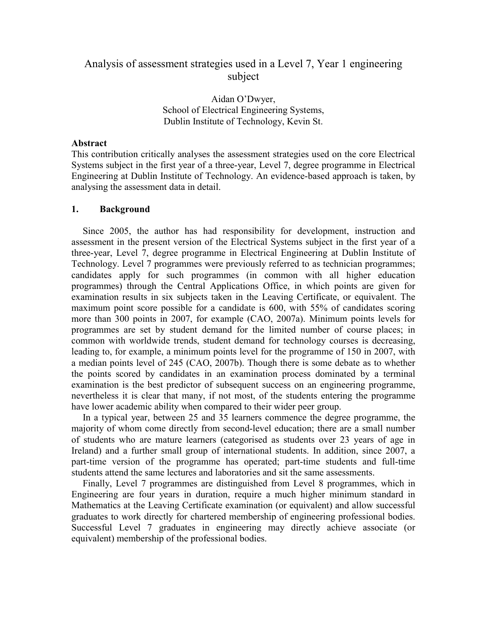# Analysis of assessment strategies used in a Level 7, Year 1 engineering subject

Aidan O'Dwyer, School of Electrical Engineering Systems, Dublin Institute of Technology, Kevin St.

#### **Abstract**

This contribution critically analyses the assessment strategies used on the core Electrical Systems subject in the first year of a three-year, Level 7, degree programme in Electrical Engineering at Dublin Institute of Technology. An evidence-based approach is taken, by analysing the assessment data in detail.

#### **1. Background**

Since 2005, the author has had responsibility for development, instruction and assessment in the present version of the Electrical Systems subject in the first year of a three-year, Level 7, degree programme in Electrical Engineering at Dublin Institute of Technology. Level 7 programmes were previously referred to as technician programmes; candidates apply for such programmes (in common with all higher education programmes) through the Central Applications Office, in which points are given for examination results in six subjects taken in the Leaving Certificate, or equivalent. The maximum point score possible for a candidate is 600, with 55% of candidates scoring more than 300 points in 2007, for example (CAO, 2007a). Minimum points levels for programmes are set by student demand for the limited number of course places; in common with worldwide trends, student demand for technology courses is decreasing, leading to, for example, a minimum points level for the programme of 150 in 2007, with a median points level of 245 (CAO, 2007b). Though there is some debate as to whether the points scored by candidates in an examination process dominated by a terminal examination is the best predictor of subsequent success on an engineering programme, nevertheless it is clear that many, if not most, of the students entering the programme have lower academic ability when compared to their wider peer group.

In a typical year, between 25 and 35 learners commence the degree programme, the majority of whom come directly from second-level education; there are a small number of students who are mature learners (categorised as students over 23 years of age in Ireland) and a further small group of international students. In addition, since 2007, a part-time version of the programme has operated; part-time students and full-time students attend the same lectures and laboratories and sit the same assessments.

Finally, Level 7 programmes are distinguished from Level 8 programmes, which in Engineering are four years in duration, require a much higher minimum standard in Mathematics at the Leaving Certificate examination (or equivalent) and allow successful graduates to work directly for chartered membership of engineering professional bodies. Successful Level 7 graduates in engineering may directly achieve associate (or equivalent) membership of the professional bodies.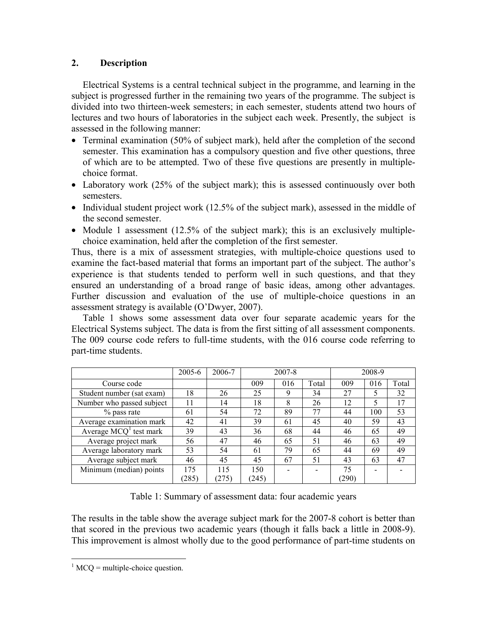## **2. Description**

Electrical Systems is a central technical subject in the programme, and learning in the subject is progressed further in the remaining two years of the programme. The subject is divided into two thirteen-week semesters; in each semester, students attend two hours of lectures and two hours of laboratories in the subject each week. Presently, the subject is assessed in the following manner:

- Terminal examination (50% of subject mark), held after the completion of the second semester. This examination has a compulsory question and five other questions, three of which are to be attempted. Two of these five questions are presently in multiplechoice format.
- Laboratory work (25% of the subject mark); this is assessed continuously over both semesters.
- Individual student project work (12.5% of the subject mark), assessed in the middle of the second semester.
- Module 1 assessment (12.5% of the subject mark); this is an exclusively multiplechoice examination, held after the completion of the first semester.

Thus, there is a mix of assessment strategies, with multiple-choice questions used to examine the fact-based material that forms an important part of the subject. The author's experience is that students tended to perform well in such questions, and that they ensured an understanding of a broad range of basic ideas, among other advantages. Further discussion and evaluation of the use of multiple-choice questions in an assessment strategy is available (O'Dwyer, 2007).

Table 1 shows some assessment data over four separate academic years for the Electrical Systems subject. The data is from the first sitting of all assessment components. The 009 course code refers to full-time students, with the 016 course code referring to part-time students.

|                           | 2005-6 | 2006-7 |       | 2007-8 |       |       | 2008-9 |       |
|---------------------------|--------|--------|-------|--------|-------|-------|--------|-------|
| Course code               |        |        | 009   | 016    | Total | 009   | 016    | Total |
| Student number (sat exam) | 18     | 26     | 25    | 9      | 34    | 27    |        | 32    |
| Number who passed subject | 11     | 14     | 18    | 8      | 26    | 12    | 5      | 17    |
| % pass rate               | 61     | 54     | 72    | 89     | 77    | 44    | 100    | 53    |
| Average examination mark  | 42     | 41     | 39    | 61     | 45    | 40    | 59     | 43    |
| Average $MCQ^1$ test mark | 39     | 43     | 36    | 68     | 44    | 46    | 65     | 49    |
| Average project mark      | 56     | 47     | 46    | 65     | 51    | 46    | 63     | 49    |
| Average laboratory mark   | 53     | 54     | 61    | 79     | 65    | 44    | 69     | 49    |
| Average subject mark      | 46     | 45     | 45    | 67     | 51    | 43    | 63     | 47    |
| Minimum (median) points   | 175    | 115    | 150   |        |       | 75    |        |       |
|                           | (285)  | (275)  | (245) |        |       | (290) |        |       |

Table 1: Summary of assessment data: four academic years

The results in the table show the average subject mark for the 2007-8 cohort is better than that scored in the previous two academic years (though it falls back a little in 2008-9). This improvement is almost wholly due to the good performance of part-time students on

 $\overline{a}$ 

 $<sup>1</sup>$  MCQ = multiple-choice question.</sup>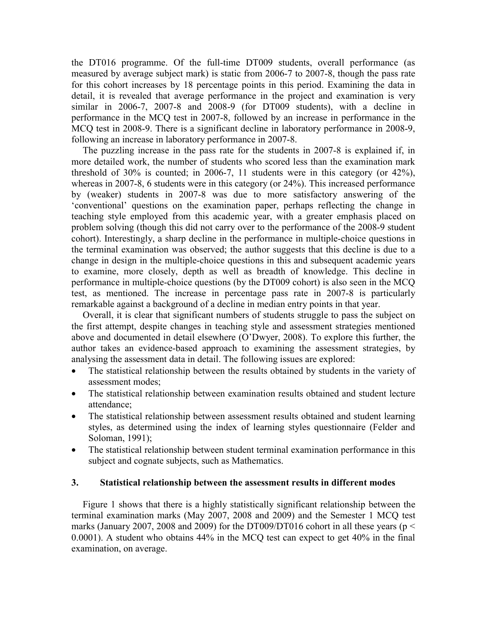the DT016 programme. Of the full-time DT009 students, overall performance (as measured by average subject mark) is static from 2006-7 to 2007-8, though the pass rate for this cohort increases by 18 percentage points in this period. Examining the data in detail, it is revealed that average performance in the project and examination is very similar in 2006-7, 2007-8 and 2008-9 (for DT009 students), with a decline in performance in the MCQ test in 2007-8, followed by an increase in performance in the MCQ test in 2008-9. There is a significant decline in laboratory performance in 2008-9, following an increase in laboratory performance in 2007-8.

The puzzling increase in the pass rate for the students in 2007-8 is explained if, in more detailed work, the number of students who scored less than the examination mark threshold of 30% is counted; in 2006-7, 11 students were in this category (or 42%), whereas in 2007-8, 6 students were in this category (or 24%). This increased performance by (weaker) students in 2007-8 was due to more satisfactory answering of the 'conventional' questions on the examination paper, perhaps reflecting the change in teaching style employed from this academic year, with a greater emphasis placed on problem solving (though this did not carry over to the performance of the 2008-9 student cohort). Interestingly, a sharp decline in the performance in multiple-choice questions in the terminal examination was observed; the author suggests that this decline is due to a change in design in the multiple-choice questions in this and subsequent academic years to examine, more closely, depth as well as breadth of knowledge. This decline in performance in multiple-choice questions (by the DT009 cohort) is also seen in the MCQ test, as mentioned. The increase in percentage pass rate in 2007-8 is particularly remarkable against a background of a decline in median entry points in that year.

Overall, it is clear that significant numbers of students struggle to pass the subject on the first attempt, despite changes in teaching style and assessment strategies mentioned above and documented in detail elsewhere (O'Dwyer, 2008). To explore this further, the author takes an evidence-based approach to examining the assessment strategies, by analysing the assessment data in detail. The following issues are explored:

- The statistical relationship between the results obtained by students in the variety of assessment modes;
- The statistical relationship between examination results obtained and student lecture attendance;
- The statistical relationship between assessment results obtained and student learning styles, as determined using the index of learning styles questionnaire (Felder and Soloman, 1991);
- The statistical relationship between student terminal examination performance in this subject and cognate subjects, such as Mathematics.

#### **3. Statistical relationship between the assessment results in different modes**

Figure 1 shows that there is a highly statistically significant relationship between the terminal examination marks (May 2007, 2008 and 2009) and the Semester 1 MCQ test marks (January 2007, 2008 and 2009) for the DT009/DT016 cohort in all these years ( $p <$ 0.0001). A student who obtains 44% in the MCQ test can expect to get 40% in the final examination, on average.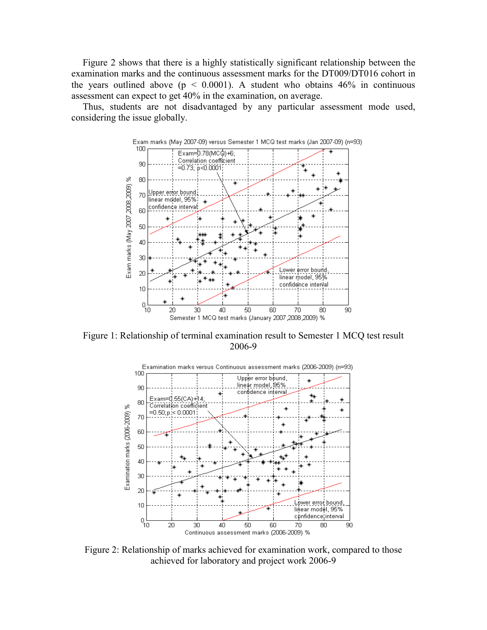Figure 2 shows that there is a highly statistically significant relationship between the examination marks and the continuous assessment marks for the DT009/DT016 cohort in the years outlined above ( $p < 0.0001$ ). A student who obtains 46% in continuous assessment can expect to get 40% in the examination, on average.

Thus, students are not disadvantaged by any particular assessment mode used, considering the issue globally.



Figure 1: Relationship of terminal examination result to Semester 1 MCQ test result 2006-9



Figure 2: Relationship of marks achieved for examination work, compared to those achieved for laboratory and project work 2006-9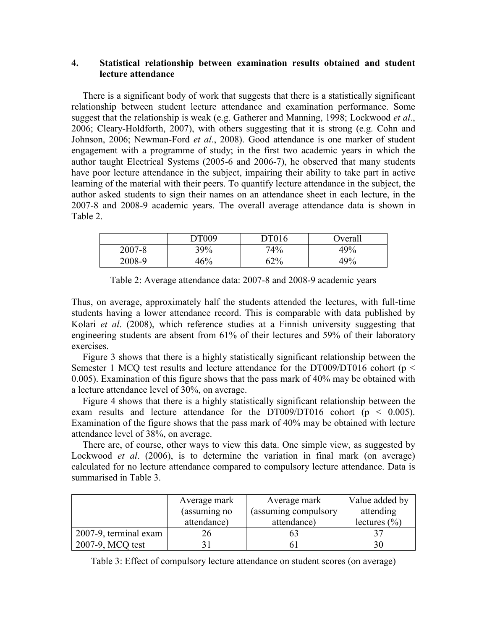### **4. Statistical relationship between examination results obtained and student lecture attendance**

There is a significant body of work that suggests that there is a statistically significant relationship between student lecture attendance and examination performance. Some suggest that the relationship is weak (e.g. Gatherer and Manning, 1998; Lockwood *et al*., 2006; Cleary-Holdforth, 2007), with others suggesting that it is strong (e.g. Cohn and Johnson, 2006; Newman-Ford *et al*., 2008). Good attendance is one marker of student engagement with a programme of study; in the first two academic years in which the author taught Electrical Systems (2005-6 and 2006-7), he observed that many students have poor lecture attendance in the subject, impairing their ability to take part in active learning of the material with their peers. To quantify lecture attendance in the subject, the author asked students to sign their names on an attendance sheet in each lecture, in the 2007-8 and 2008-9 academic years. The overall average attendance data is shown in Table 2.

|        | DT009 | <b>DT016</b> | <b>Dverall</b> |
|--------|-------|--------------|----------------|
| 2007-8 | 39%   | 74%          | 49%            |
| 2008-9 | 46%   | 62%          | 49%            |

Table 2: Average attendance data: 2007-8 and 2008-9 academic years

Thus, on average, approximately half the students attended the lectures, with full-time students having a lower attendance record. This is comparable with data published by Kolari *et al*. (2008), which reference studies at a Finnish university suggesting that engineering students are absent from 61% of their lectures and 59% of their laboratory exercises.

Figure 3 shows that there is a highly statistically significant relationship between the Semester 1 MCQ test results and lecture attendance for the DT009/DT016 cohort (p < 0.005). Examination of this figure shows that the pass mark of 40% may be obtained with a lecture attendance level of 30%, on average.

Figure 4 shows that there is a highly statistically significant relationship between the exam results and lecture attendance for the DT009/DT016 cohort ( $p < 0.005$ ). Examination of the figure shows that the pass mark of 40% may be obtained with lecture attendance level of 38%, on average.

There are, of course, other ways to view this data. One simple view, as suggested by Lockwood *et al.* (2006), is to determine the variation in final mark (on average) calculated for no lecture attendance compared to compulsory lecture attendance. Data is summarised in Table 3.

|                       | Average mark | Average mark         | Value added by   |  |
|-----------------------|--------------|----------------------|------------------|--|
|                       | (assuming no | (assuming compulsory | attending        |  |
|                       | attendance)  | attendance)          | lectures $(\% )$ |  |
| 2007-9, terminal exam |              |                      |                  |  |
| $12007-9$ , MCQ test  |              |                      |                  |  |

Table 3: Effect of compulsory lecture attendance on student scores (on average)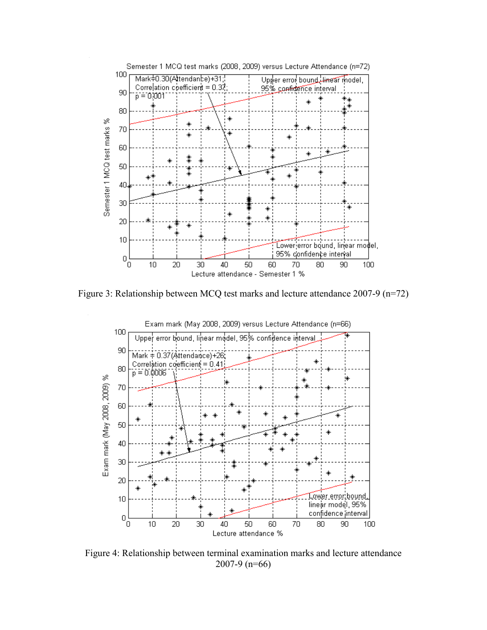

Figure 3: Relationship between MCQ test marks and lecture attendance 2007-9 (n=72)



Figure 4: Relationship between terminal examination marks and lecture attendance 2007-9 (n=66)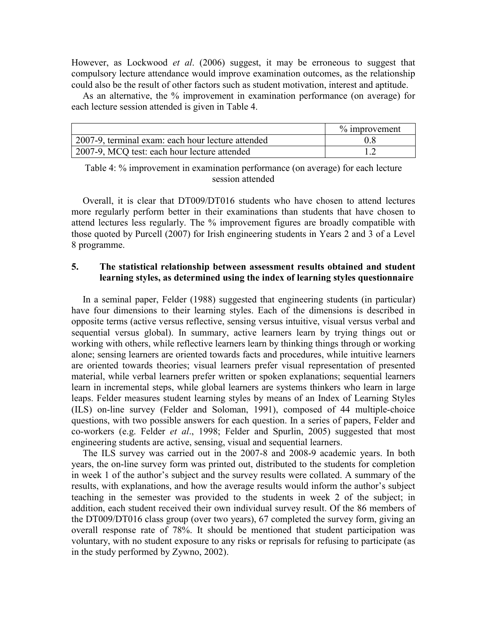However, as Lockwood *et al*. (2006) suggest, it may be erroneous to suggest that compulsory lecture attendance would improve examination outcomes, as the relationship could also be the result of other factors such as student motivation, interest and aptitude.

As an alternative, the % improvement in examination performance (on average) for each lecture session attended is given in Table 4.

|                                                   | $\%$ improvement |
|---------------------------------------------------|------------------|
| 2007-9, terminal exam: each hour lecture attended |                  |
| 2007-9, MCQ test: each hour lecture attended      |                  |

Table 4: % improvement in examination performance (on average) for each lecture session attended

Overall, it is clear that DT009/DT016 students who have chosen to attend lectures more regularly perform better in their examinations than students that have chosen to attend lectures less regularly. The % improvement figures are broadly compatible with those quoted by Purcell (2007) for Irish engineering students in Years 2 and 3 of a Level 8 programme.

### **5. The statistical relationship between assessment results obtained and student learning styles, as determined using the index of learning styles questionnaire**

In a seminal paper, Felder (1988) suggested that engineering students (in particular) have four dimensions to their learning styles. Each of the dimensions is described in opposite terms (active versus reflective, sensing versus intuitive, visual versus verbal and sequential versus global). In summary, active learners learn by trying things out or working with others, while reflective learners learn by thinking things through or working alone; sensing learners are oriented towards facts and procedures, while intuitive learners are oriented towards theories; visual learners prefer visual representation of presented material, while verbal learners prefer written or spoken explanations; sequential learners learn in incremental steps, while global learners are systems thinkers who learn in large leaps. Felder measures student learning styles by means of an Index of Learning Styles (ILS) on-line survey (Felder and Soloman, 1991), composed of 44 multiple-choice questions, with two possible answers for each question. In a series of papers, Felder and co-workers (e.g. Felder *et al*., 1998; Felder and Spurlin, 2005) suggested that most engineering students are active, sensing, visual and sequential learners.

The ILS survey was carried out in the 2007-8 and 2008-9 academic years. In both years, the on-line survey form was printed out, distributed to the students for completion in week 1 of the author's subject and the survey results were collated. A summary of the results, with explanations, and how the average results would inform the author's subject teaching in the semester was provided to the students in week 2 of the subject; in addition, each student received their own individual survey result. Of the 86 members of the DT009/DT016 class group (over two years), 67 completed the survey form, giving an overall response rate of 78%. It should be mentioned that student participation was voluntary, with no student exposure to any risks or reprisals for refusing to participate (as in the study performed by Zywno, 2002).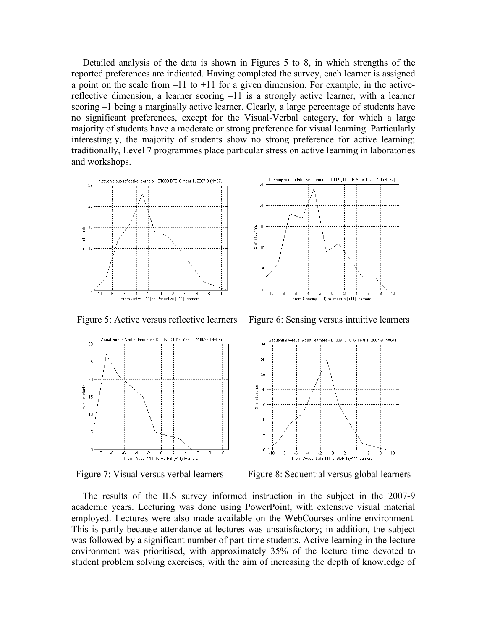Detailed analysis of the data is shown in Figures 5 to 8, in which strengths of the reported preferences are indicated. Having completed the survey, each learner is assigned a point on the scale from  $-11$  to  $+11$  for a given dimension. For example, in the activereflective dimension, a learner scoring –11 is a strongly active learner, with a learner scoring –1 being a marginally active learner. Clearly, a large percentage of students have no significant preferences, except for the Visual-Verbal category, for which a large majority of students have a moderate or strong preference for visual learning. Particularly interestingly, the majority of students show no strong preference for active learning; traditionally, Level 7 programmes place particular stress on active learning in laboratories and workshops.









Figure 5: Active versus reflective learners Figure 6: Sensing versus intuitive learners



Figure 7: Visual versus verbal learners Figure 8: Sequential versus global learners

The results of the ILS survey informed instruction in the subject in the 2007-9 academic years. Lecturing was done using PowerPoint, with extensive visual material employed. Lectures were also made available on the WebCourses online environment. This is partly because attendance at lectures was unsatisfactory; in addition, the subject was followed by a significant number of part-time students. Active learning in the lecture environment was prioritised, with approximately 35% of the lecture time devoted to student problem solving exercises, with the aim of increasing the depth of knowledge of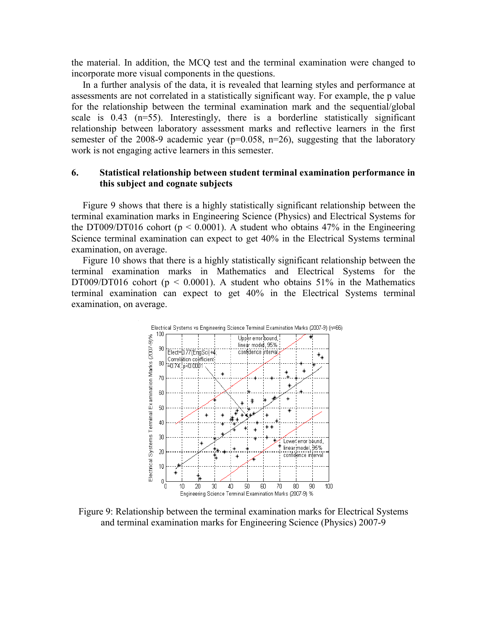the material. In addition, the MCQ test and the terminal examination were changed to incorporate more visual components in the questions.

In a further analysis of the data, it is revealed that learning styles and performance at assessments are not correlated in a statistically significant way. For example, the p value for the relationship between the terminal examination mark and the sequential/global scale is 0.43 (n=55). Interestingly, there is a borderline statistically significant relationship between laboratory assessment marks and reflective learners in the first semester of the 2008-9 academic year ( $p=0.058$ ,  $n=26$ ), suggesting that the laboratory work is not engaging active learners in this semester.

#### **6. Statistical relationship between student terminal examination performance in this subject and cognate subjects**

Figure 9 shows that there is a highly statistically significant relationship between the terminal examination marks in Engineering Science (Physics) and Electrical Systems for the DT009/DT016 cohort ( $p < 0.0001$ ). A student who obtains 47% in the Engineering Science terminal examination can expect to get 40% in the Electrical Systems terminal examination, on average.

Figure 10 shows that there is a highly statistically significant relationship between the terminal examination marks in Mathematics and Electrical Systems for the DT009/DT016 cohort ( $p \le 0.0001$ ). A student who obtains 51% in the Mathematics terminal examination can expect to get 40% in the Electrical Systems terminal examination, on average.



Figure 9: Relationship between the terminal examination marks for Electrical Systems and terminal examination marks for Engineering Science (Physics) 2007-9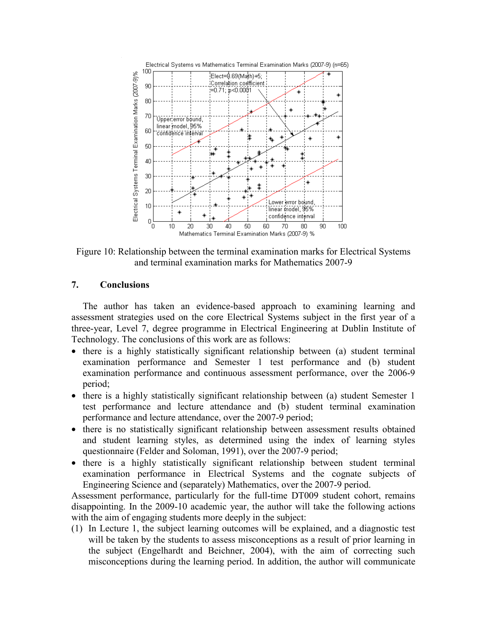

Figure 10: Relationship between the terminal examination marks for Electrical Systems and terminal examination marks for Mathematics 2007-9

#### **7. Conclusions**

The author has taken an evidence-based approach to examining learning and assessment strategies used on the core Electrical Systems subject in the first year of a three-year, Level 7, degree programme in Electrical Engineering at Dublin Institute of Technology. The conclusions of this work are as follows:

- there is a highly statistically significant relationship between (a) student terminal examination performance and Semester 1 test performance and (b) student examination performance and continuous assessment performance, over the 2006-9 period;
- there is a highly statistically significant relationship between (a) student Semester 1 test performance and lecture attendance and (b) student terminal examination performance and lecture attendance, over the 2007-9 period;
- there is no statistically significant relationship between assessment results obtained and student learning styles, as determined using the index of learning styles questionnaire (Felder and Soloman, 1991), over the 2007-9 period;
- there is a highly statistically significant relationship between student terminal examination performance in Electrical Systems and the cognate subjects of Engineering Science and (separately) Mathematics, over the 2007-9 period.

Assessment performance, particularly for the full-time DT009 student cohort, remains disappointing. In the 2009-10 academic year, the author will take the following actions with the aim of engaging students more deeply in the subject:

(1) In Lecture 1, the subject learning outcomes will be explained, and a diagnostic test will be taken by the students to assess misconceptions as a result of prior learning in the subject (Engelhardt and Beichner, 2004), with the aim of correcting such misconceptions during the learning period. In addition, the author will communicate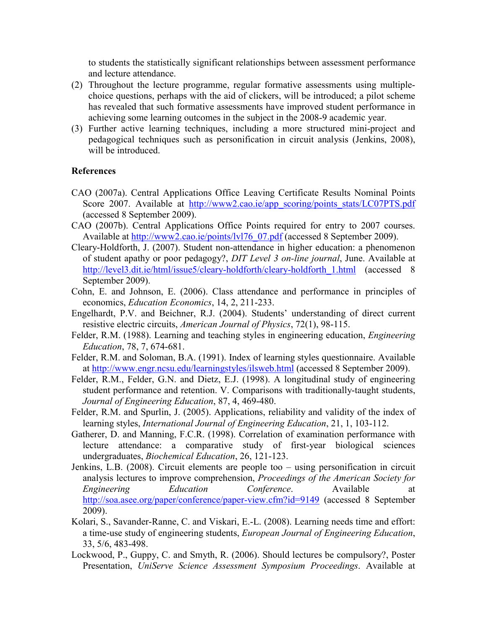to students the statistically significant relationships between assessment performance and lecture attendance.

- (2) Throughout the lecture programme, regular formative assessments using multiplechoice questions, perhaps with the aid of clickers, will be introduced; a pilot scheme has revealed that such formative assessments have improved student performance in achieving some learning outcomes in the subject in the 2008-9 academic year.
- (3) Further active learning techniques, including a more structured mini-project and pedagogical techniques such as personification in circuit analysis (Jenkins, 2008), will be introduced.

#### **References**

- CAO (2007a). Central Applications Office Leaving Certificate Results Nominal Points Score 2007. Available at http://www2.cao.je/app\_scoring/points\_stats/LC07PTS.pdf (accessed 8 September 2009).
- CAO (2007b). Central Applications Office Points required for entry to 2007 courses. Available at http://www2.cao.ie/points/lyl76\_07.pdf (accessed 8 September 2009).
- Cleary-Holdforth, J. (2007). Student non-attendance in higher education: a phenomenon of student apathy or poor pedagogy?, *DIT Level 3 on-line journal*, June. Available at http://level3.dit.ie/html/issue5/cleary-holdforth/cleary-holdforth\_1.html (accessed 8 September 2009).
- Cohn, E. and Johnson, E. (2006). Class attendance and performance in principles of economics, *Education Economics*, 14, 2, 211-233.
- Engelhardt, P.V. and Beichner, R.J. (2004). Students' understanding of direct current resistive electric circuits, *American Journal of Physics*, 72(1), 98-115.
- Felder, R.M. (1988). Learning and teaching styles in engineering education, *Engineering Education*, 78, 7, 674-681.
- Felder, R.M. and Soloman, B.A. (1991). Index of learning styles questionnaire. Available at http://www.engr.ncsu.edu/learningstyles/ilsweb.html (accessed 8 September 2009).
- Felder, R.M., Felder, G.N. and Dietz, E.J. (1998). A longitudinal study of engineering student performance and retention. V. Comparisons with traditionally-taught students, *Journal of Engineering Education*, 87, 4, 469-480.
- Felder, R.M. and Spurlin, J. (2005). Applications, reliability and validity of the index of learning styles, *International Journal of Engineering Education*, 21, 1, 103-112.
- Gatherer, D. and Manning, F.C.R. (1998). Correlation of examination performance with lecture attendance: a comparative study of first-year biological sciences undergraduates, *Biochemical Education*, 26, 121-123.
- Jenkins, L.B. (2008). Circuit elements are people too using personification in circuit analysis lectures to improve comprehension, *Proceedings of the American Society for Engineering Education Conference*. Available at http://soa.asee.org/paper/conference/paper-view.cfm?id=9149 (accessed 8 September 2009).
- Kolari, S., Savander-Ranne, C. and Viskari, E.-L. (2008). Learning needs time and effort: a time-use study of engineering students, *European Journal of Engineering Education*, 33, 5/6, 483-498.
- Lockwood, P., Guppy, C. and Smyth, R. (2006). Should lectures be compulsory?, Poster Presentation, *UniServe Science Assessment Symposium Proceedings*. Available at